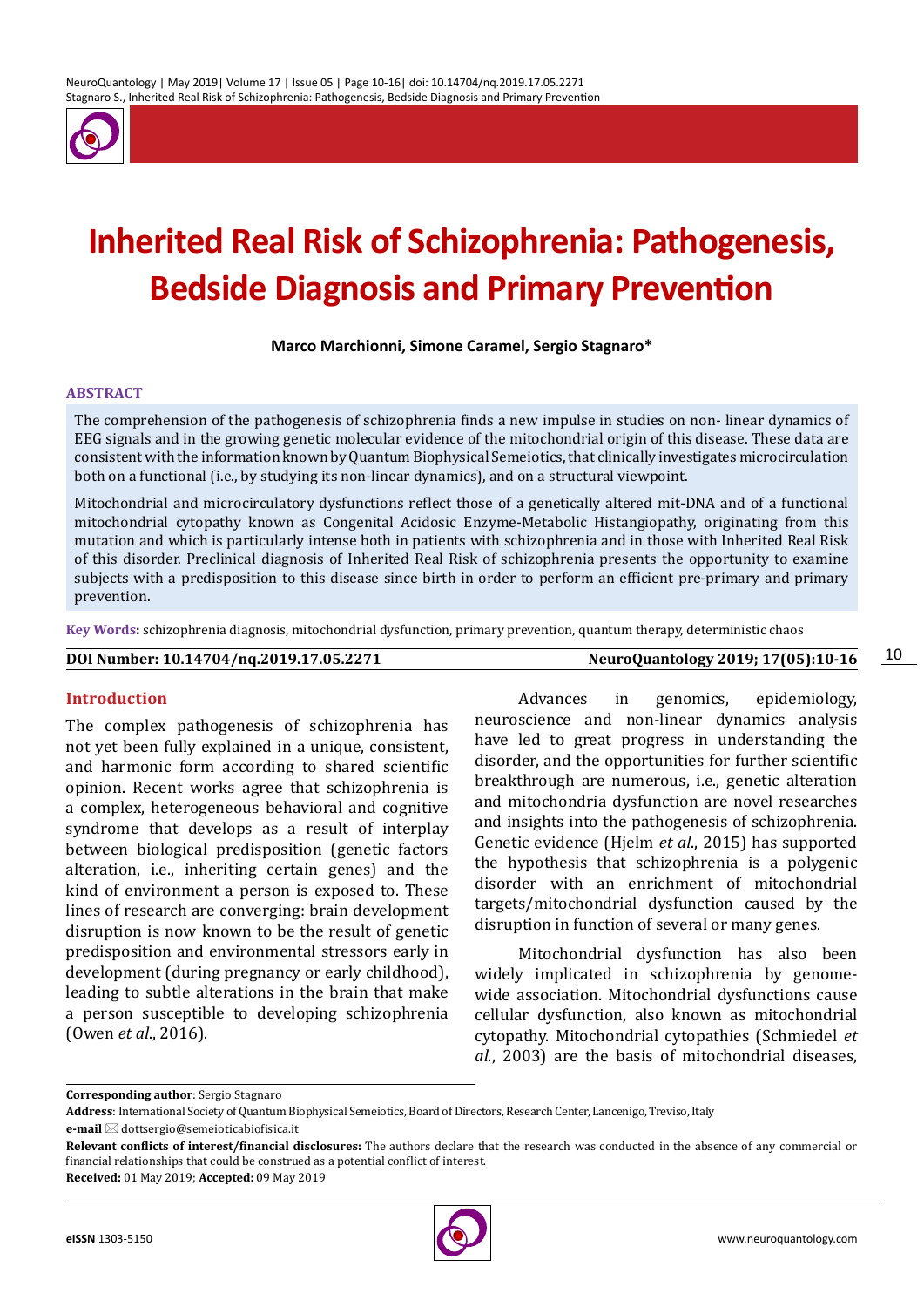

# **Inherited Real Risk of Schizophrenia: Pathogenesis, Bedside Diagnosis and Primary Prevention**

**Marco Marchionni, Simone Caramel, Sergio Stagnaro\***

#### **ABSTRACT**

The comprehension of the pathogenesis of schizophrenia finds a new impulse in studies on non- linear dynamics of EEG signals and in the growing genetic molecular evidence of the mitochondrial origin of this disease. These data are consistent with the information known by Quantum Biophysical Semeiotics, that clinically investigates microcirculation both on a functional (i.e., by studying its non-linear dynamics), and on a structural viewpoint.

Mitochondrial and microcirculatory dysfunctions reflect those of a genetically altered mit-DNA and of a functional mitochondrial cytopathy known as Congenital Acidosic Enzyme-Metabolic Histangiopathy, originating from this mutation and which is particularly intense both in patients with schizophrenia and in those with Inherited Real Risk of this disorder. Preclinical diagnosis of Inherited Real Risk of schizophrenia presents the opportunity to examine subjects with a predisposition to this disease since birth in order to perform an efficient pre-primary and primary prevention.

**Key Words:** schizophrenia diagnosis, mitochondrial dysfunction, primary prevention, quantum therapy, deterministic chaos

**DOI Number: 10.14704/nq.2019.17.05.2271 NeuroQuantology 2019; 17(05):10-16**

10

### **Introduction**

The complex pathogenesis of schizophrenia has not yet been fully explained in a unique, consistent, and harmonic form according to shared scientific opinion. Recent works agree that schizophrenia is a complex, heterogeneous behavioral and cognitive syndrome that develops as a result of interplay between biological predisposition (genetic factors alteration, i.e., inheriting certain genes) and the kind of environment a person is exposed to. These lines of research are converging: brain development disruption is now known to be the result of genetic predisposition and environmental stressors early in development (during pregnancy or early childhood), leading to subtle alterations in the brain that make a person susceptible to developing schizophrenia (Owen *et al*., 2016).

Advances in genomics, epidemiology, neuroscience and non-linear dynamics analysis have led to great progress in understanding the disorder, and the opportunities for further scientific breakthrough are numerous, i.e., genetic alteration and mitochondria dysfunction are novel researches and insights into the pathogenesis of schizophrenia. Genetic evidence (Hjelm *et al*., 2015) has supported the hypothesis that schizophrenia is a polygenic disorder with an enrichment of mitochondrial targets/mitochondrial dysfunction caused by the disruption in function of several or many genes.

Mitochondrial dysfunction has also been widely implicated in schizophrenia by genomewide association. Mitochondrial dysfunctions cause cellular dysfunction, also known as mitochondrial cytopathy. Mitochondrial cytopathies (Schmiedel *et al*., 2003) are the basis of mitochondrial diseases,

**Corresponding author**: Sergio Stagnaro

**e-mail** ⊠ dottsergio@semeioticabiofisica.it

**Received:** 01 May 2019; **Accepted:** 09 May 2019

**Address**: International Society of Quantum Biophysical Semeiotics, Board of Directors, Research Center, Lancenigo, Treviso, Italy

**Relevant conflicts of interest/financial disclosures:** The authors declare that the research was conducted in the absence of any commercial or financial relationships that could be construed as a potential conflict of interest.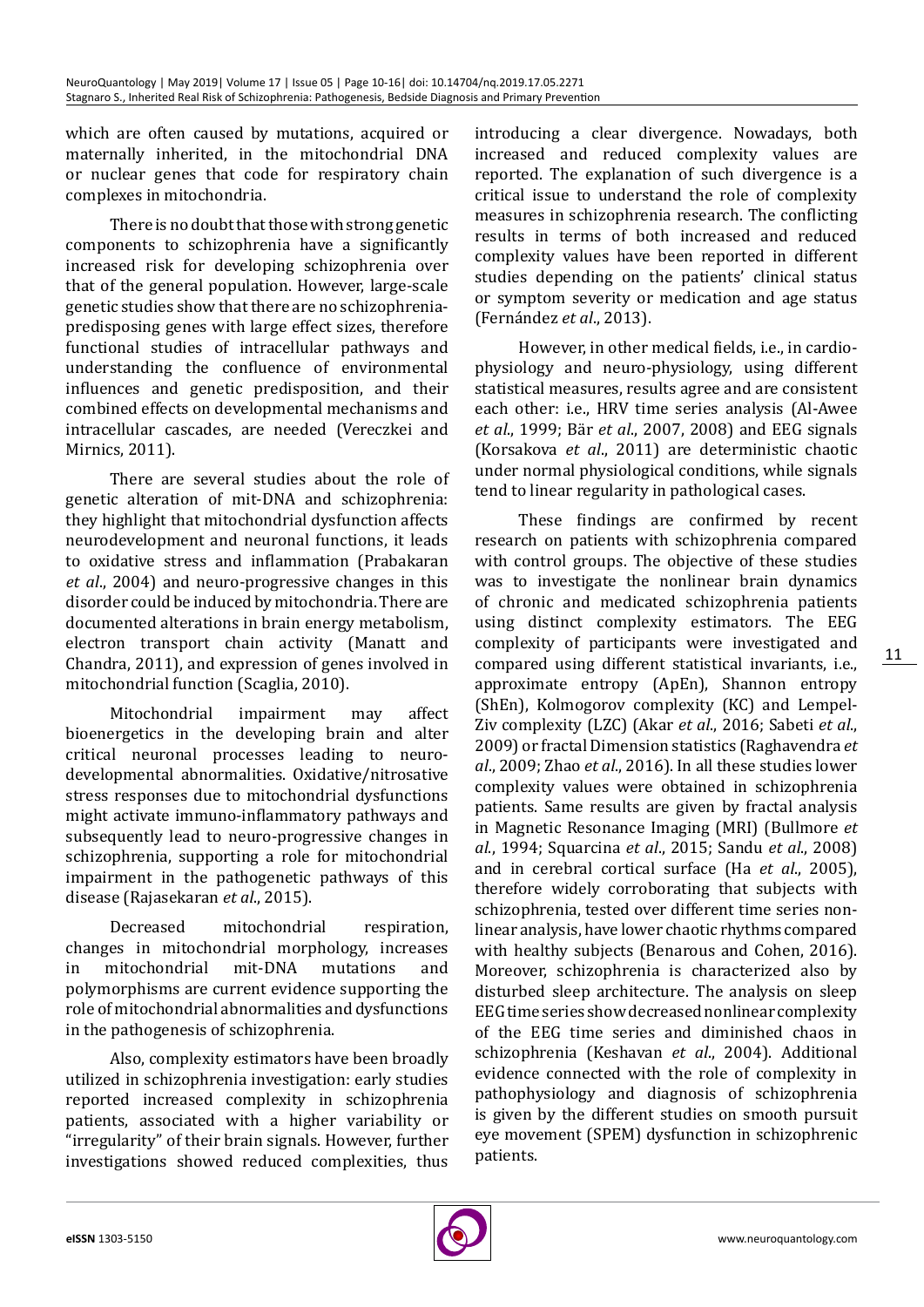which are often caused by mutations, acquired or maternally inherited, in the mitochondrial DNA or nuclear genes that code for respiratory chain complexes in mitochondria.

There is no doubt that those with strong genetic components to schizophrenia have a significantly increased risk for developing schizophrenia over that of the general population. However, large-scale genetic studies show that there are no schizophreniapredisposing genes with large effect sizes, therefore functional studies of intracellular pathways and understanding the confluence of environmental influences and genetic predisposition, and their combined effects on developmental mechanisms and intracellular cascades, are needed ([Vereczkei](https://www.ncbi.nlm.nih.gov/pubmed/?term=Vereczkei%252520A%25255BAuthor%25255D&cauthor=true&cauthor_uid=22184188) and [Mirnics, 2011\).](https://www.ncbi.nlm.nih.gov/pubmed/?term=Mirnics%252520K%25255BAuthor%25255D&cauthor=true&cauthor_uid=22184188) 

There are several studies about the role of genetic alteration of mit-DNA and schizophrenia: they highlight that mitochondrial dysfunction affects neurodevelopment and neuronal functions, it leads to oxidative stress and inflammation (Prabakaran *et al*., 2004) and neuro-progressive changes in this disorder could be induced by mitochondria. There are documented alterations in brain energy metabolism, electron transport chain activity (Manatt and Chandra, 2011), and expression of genes involved in mitochondrial function (Scaglia, 2010).

Mitochondrial impairment may affect bioenergetics in the developing brain and alter critical neuronal processes leading to neurodevelopmental abnormalities. Oxidative/nitrosative stress responses due to mitochondrial dysfunctions might activate immuno-inflammatory pathways and subsequently lead to neuro-progressive changes in schizophrenia, supporting a role for mitochondrial impairment in the pathogenetic pathways of this disease (Rajasekaran *et al*., 2015).

Decreased mitochondrial respiration, changes in mitochondrial morphology, increases<br>in mitochondrial mit-DNA mutations and in mitochondrial mit-DNA mutations and polymorphisms are current evidence supporting the role of mitochondrial abnormalities and dysfunctions in the pathogenesis of schizophrenia.

Also, complexity estimators have been broadly utilized in schizophrenia investigation: early studies reported increased complexity in schizophrenia patients, associated with a higher variability or "irregularity" of their brain signals. However, further investigations showed reduced complexities, thus

introducing a clear divergence. Nowadays, both increased and reduced complexity values are reported. The explanation of such divergence is a critical issue to understand the role of complexity measures in schizophrenia research. The conflicting results in terms of both increased and reduced complexity values have been reported in different studies depending on the patients' clinical status or symptom severity or medication and age status (Fernández *et al*., 2013).

However, in other medical fields, i.e., in cardiophysiology and neuro-physiology, using different statistical measures, results agree and are consistent each other: i.e., HRV time series analysis (Al-Awee *et al*., 1999; Bär *et al*., 2007, 2008) and EEG signals (Korsakova *et al*., 2011) are deterministic chaotic under normal physiological conditions, while signals tend to linear regularity in pathological cases.

These findings are confirmed by recent research on patients with schizophrenia compared with control groups. The objective of these studies was to investigate the nonlinear brain dynamics of chronic and medicated schizophrenia patients using distinct complexity estimators. The EEG complexity of participants were investigated and compared using different statistical invariants, i.e., approximate entropy (ApEn), Shannon entropy (ShEn), Kolmogorov complexity (KC) and Lempel-Ziv complexity (LZC) (Akar *et al*., 2016; Sabeti *et al*., 2009) or fractal Dimension statistics (Raghavendra *et al*., 2009; Zhao *et al*., 2016). In all these studies lower complexity values were obtained in schizophrenia patients. Same results are given by fractal analysis in Magnetic Resonance Imaging (MRI) (Bullmore *et al*., 1994; Squarcina *et al*., 2015; Sandu *et al*., 2008) and in cerebral cortical surface (Ha *et al*., 2005), therefore widely corroborating that subjects with schizophrenia, tested over different time series nonlinear analysis, have lower chaotic rhythms compared with healthy subjects (Benarous and Cohen, 2016). Moreover, schizophrenia is characterized also by disturbed sleep architecture. The analysis on sleep EEG time series show decreased nonlinear complexity of the EEG time series and diminished chaos in schizophrenia (Keshavan *et al*., 2004). Additional evidence connected with the role of complexity in pathophysiology and diagnosis of schizophrenia is given by the different studies on smooth pursuit eye movement (SPEM) dysfunction in schizophrenic patients.

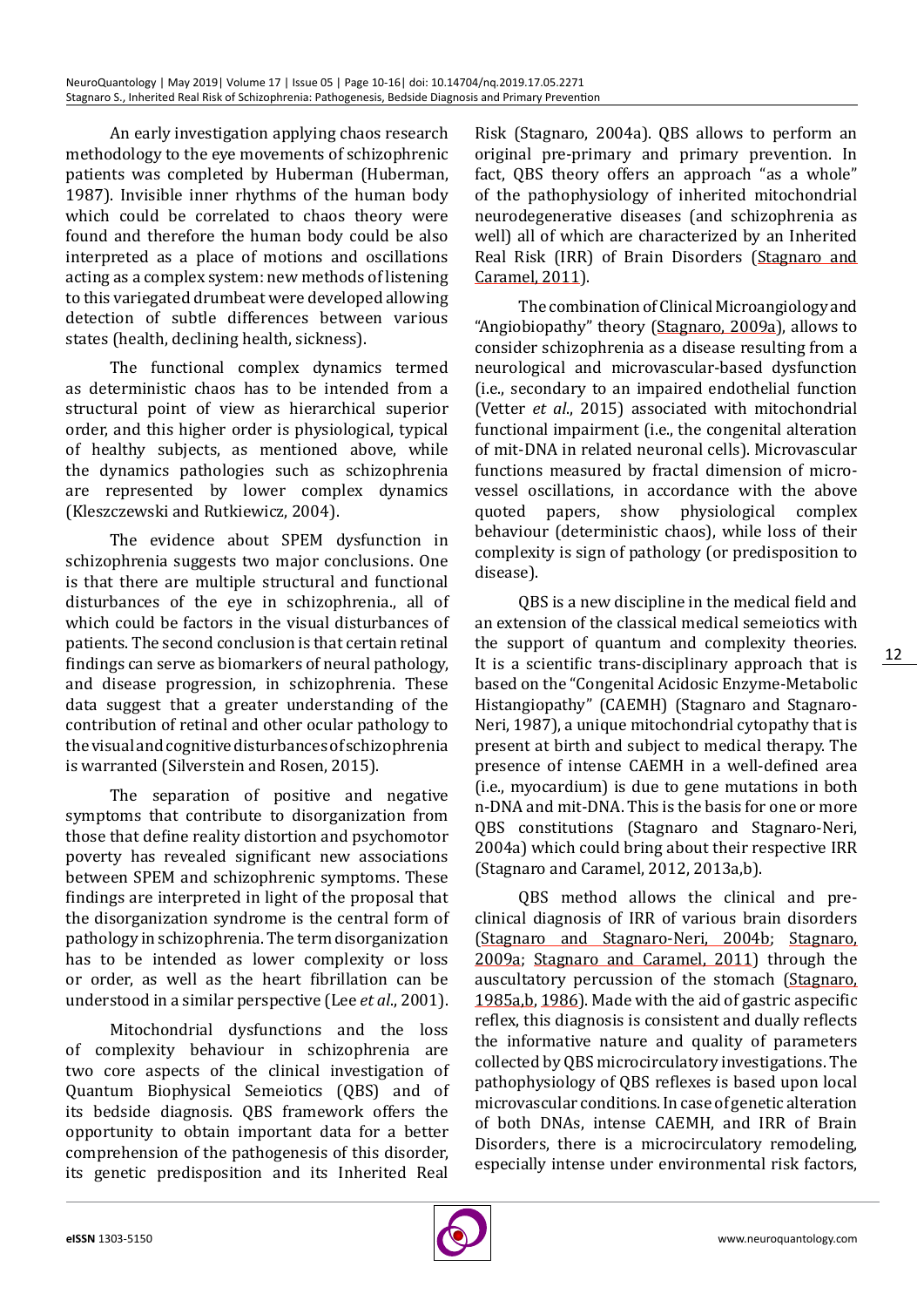An early investigation applying chaos research methodology to the eye movements of schizophrenic patients was completed by Huberman (Huberman, 1987). Invisible inner rhythms of the human body which could be correlated to chaos theory were found and therefore the human body could be also interpreted as a place of motions and oscillations acting as a complex system: new methods of listening to this variegated drumbeat were developed allowing detection of subtle differences between various states (health, declining health, sickness).

The functional complex dynamics termed as deterministic chaos has to be intended from a structural point of view as hierarchical superior order, and this higher order is physiological, typical of healthy subjects, as mentioned above, while the dynamics pathologies such as schizophrenia are represented by lower complex dynamics (Kleszczewski and Rutkiewicz, 2004).

The evidence about SPEM dysfunction in schizophrenia suggests two major conclusions. One is that there are multiple structural and functional disturbances of the eye in schizophrenia., all of which could be factors in the visual disturbances of patients. The second conclusion is that certain retinal findings can serve as biomarkers of neural pathology, and disease progression, in schizophrenia. These data suggest that a greater understanding of the contribution of retinal and other ocular pathology to the visual and cognitive disturbances of schizophrenia is warranted (Silverstein and Rosen, 2015).

The separation of positive and negative symptoms that contribute to disorganization from those that define reality distortion and psychomotor poverty has revealed significant new associations between SPEM and schizophrenic symptoms. These findings are interpreted in light of the proposal that the disorganization syndrome is the central form of pathology in schizophrenia. The term disorganization has to be intended as lower complexity or loss or order, as well as the heart fibrillation can be understood in a similar perspective (Lee *et al*., 2001).

Mitochondrial dysfunctions and the loss of complexity behaviour in schizophrenia are two core aspects of the clinical investigation of Quantum Biophysical Semeiotics (QBS) and of its bedside diagnosis. QBS framework offers the opportunity to obtain important data for a better comprehension of the pathogenesis of this disorder, its genetic predisposition and its Inherited Real

Risk (Stagnaro, 2004a). QBS allows to perform an original pre-primary and primary prevention. In fact, QBS theory offers an approach "as a whole" of the pathophysiology of inherited mitochondrial neurodegenerative diseases (and schizophrenia as well) all of which are characterized by an Inherited Real Risk (IRR) of Brain Disorders ([Stagnaro and](http://journal.frontiersin.org/article/10.3389/fnagi.2013.00013/full%23B11)  [Caramel, 2011](http://journal.frontiersin.org/article/10.3389/fnagi.2013.00013/full%23B11)).

The combination of Clinical Microangiology and "Angiobiopathy" theory ([Stagnaro, 2009a](http://journal.frontiersin.org/article/10.3389/fnagi.2013.00013/full%23B8)), allows to consider schizophrenia as a disease resulting from a neurological and microvascular-based dysfunction (i.e., secondary to an impaired endothelial function (Vetter *et al*., 2015) associated with mitochondrial functional impairment (i.e., the congenital alteration of mit-DNA in related neuronal cells). Microvascular functions measured by fractal dimension of microvessel oscillations, in accordance with the above<br>quoted papers, show physiological complex physiological complex behaviour (deterministic chaos), while loss of their complexity is sign of pathology (or predisposition to disease).

QBS is a new discipline in the medical field and an extension of the classical medical semeiotics with the support of quantum and complexity theories. It is a scientific trans-disciplinary approach that is based on the "Congenital Acidosic Enzyme-Metabolic Histangiopathy" (CAEMH) [\(Stagnaro and Stagnaro-](http://journal.frontiersin.org/article/10.3389/fnagi.2013.00013/full%23B17)[Neri, 1987](http://journal.frontiersin.org/article/10.3389/fnagi.2013.00013/full%23B17)), a unique mitochondrial cytopathy that is present at birth and subject to medical therapy. The presence of intense CAEMH in a well-defined area (i.e., myocardium) is due to gene mutations in both n-DNA and mit-DNA. This is the basis for one or more QBS constitutions [\(Stagnaro and Stagnaro-Neri,](http://journal.frontiersin.org/article/10.3389/fnagi.2013.00013/full%23B18)  [2004a\)](http://journal.frontiersin.org/article/10.3389/fnagi.2013.00013/full%23B18) which could bring about their respective IRR [\(Stagnaro and Caramel, 2012,](http://journal.frontiersin.org/article/10.3389/fnagi.2013.00013/full%23B12) [2013a](http://journal.frontiersin.org/article/10.3389/fnagi.2013.00013/full%23B13)[,b](http://journal.frontiersin.org/article/10.3389/fnagi.2013.00013/full%23B14)).

QBS method allows the clinical and preclinical diagnosis of IRR of various brain disorders ([Stagnaro and Stagnaro-Neri, 2004b](http://journal.frontiersin.org/article/10.3389/fnagi.2013.00013/full%23B19); [Stagnaro,](http://journal.frontiersin.org/article/10.3389/fnagi.2013.00013/full%23B8)  [2009a;](http://journal.frontiersin.org/article/10.3389/fnagi.2013.00013/full%23B8) [Stagnaro and Caramel, 2011](http://journal.frontiersin.org/article/10.3389/fnagi.2013.00013/full%23B11)) through the auscultatory percussion of the stomach ([Stagnaro,](http://journal.frontiersin.org/article/10.3389/fnagi.2013.00013/full%23B5)  [1985a](http://journal.frontiersin.org/article/10.3389/fnagi.2013.00013/full%23B5)[,b](http://journal.frontiersin.org/article/10.3389/fnagi.2013.00013/full%23B6), [1986\)](http://journal.frontiersin.org/article/10.3389/fnagi.2013.00013/full%23B7). Made with the aid of gastric aspecific reflex, this diagnosis is consistent and dually reflects the informative nature and quality of parameters collected by QBS microcirculatory investigations. The pathophysiology of QBS reflexes is based upon local microvascular conditions. In case of genetic alteration of both DNAs, intense CAEMH, and IRR of Brain Disorders, there is a microcirculatory remodeling, especially intense under environmental risk factors,

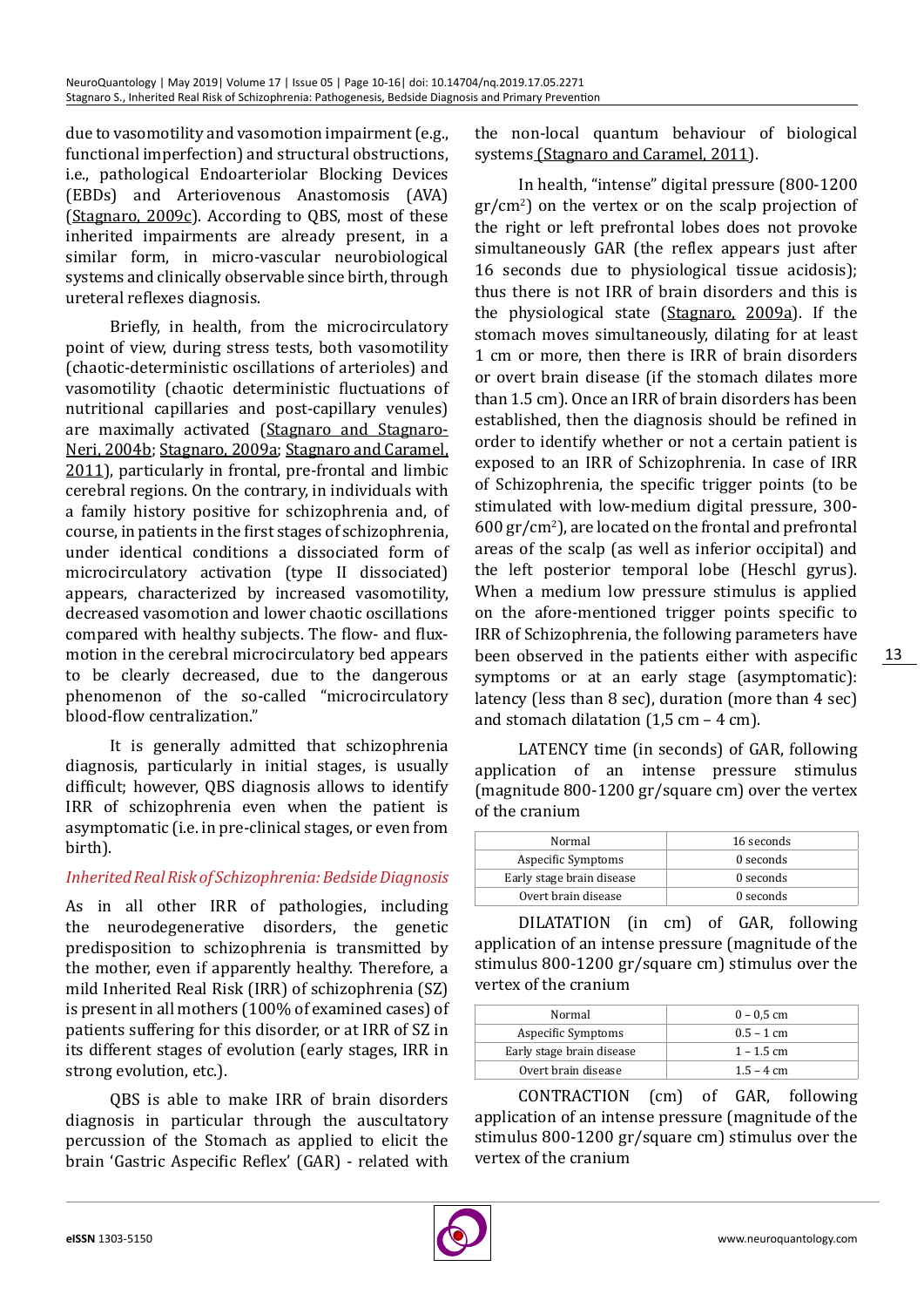due to vasomotility and vasomotion impairment (e.g., functional imperfection) and structural obstructions, i.e., pathological Endoarteriolar Blocking Devices (EBDs) and Arteriovenous Anastomosis (AVA) ([Stagnaro, 2009c](http://journal.frontiersin.org/article/10.3389/fnagi.2013.00013/full%23B10)). According to QBS, most of these inherited impairments are already present, in a similar form, in micro-vascular neurobiological systems and clinically observable since birth, through ureteral reflexes diagnosis.

Briefly, in health, from the microcirculatory point of view, during stress tests, both vasomotility (chaotic-deterministic oscillations of arterioles) and vasomotility (chaotic deterministic fluctuations of nutritional capillaries and post-capillary venules) are maximally activated ([Stagnaro and Stagnaro-](http://journal.frontiersin.org/article/10.3389/fnagi.2013.00013/full%23B19)[Neri, 2004b](http://journal.frontiersin.org/article/10.3389/fnagi.2013.00013/full%23B19); [Stagnaro, 2009a](http://journal.frontiersin.org/article/10.3389/fnagi.2013.00013/full%23B8); [Stagnaro and Caramel,](http://journal.frontiersin.org/article/10.3389/fnagi.2013.00013/full%23B11) [2011](http://journal.frontiersin.org/article/10.3389/fnagi.2013.00013/full%23B11)), particularly in frontal, pre-frontal and limbic cerebral regions. On the contrary, in individuals with a family history positive for schizophrenia and, of course, in patients in the first stages of schizophrenia, under identical conditions a dissociated form of microcirculatory activation (type II dissociated) appears, characterized by increased vasomotility, decreased vasomotion and lower chaotic oscillations compared with healthy subjects. The flow- and fluxmotion in the cerebral microcirculatory bed appears to be clearly decreased, due to the dangerous phenomenon of the so-called "microcirculatory blood-flow centralization."

It is generally admitted that schizophrenia diagnosis, particularly in initial stages, is usually difficult; however, QBS diagnosis allows to identify IRR of schizophrenia even when the patient is asymptomatic (i.e. in pre-clinical stages, or even from birth).

# *Inherited Real Risk of Schizophrenia: Bedside Diagnosis*

As in all other IRR of pathologies, including the neurodegenerative disorders, the genetic predisposition to schizophrenia is transmitted by the mother, even if apparently healthy. Therefore, a mild Inherited Real Risk (IRR) of schizophrenia (SZ) is present in all mothers (100% of examined cases) of patients suffering for this disorder, or at IRR of SZ in its different stages of evolution (early stages, IRR in strong evolution, etc.).

QBS is able to make IRR of brain disorders diagnosis in particular through the auscultatory percussion of the Stomach as applied to elicit the brain 'Gastric Aspecific Reflex' (GAR) - related with

the non-local quantum behaviour of biological systems [\(Stagnaro and Caramel, 2011](http://journal.frontiersin.org/article/10.3389/fnagi.2013.00013/full%23B11)).

In health, "intense" digital pressure (800-1200 gr/cm2 ) on the vertex or on the scalp projection of the right or left prefrontal lobes does not provoke simultaneously GAR (the reflex appears just after 16 seconds due to physiological tissue acidosis); thus there is not IRR of brain disorders and this is the physiological state [\(Stagnaro,](http://journal.frontiersin.org/article/10.3389/fnagi.2013.00013/full%23B8) 2009a). If the stomach moves simultaneously, dilating for at least 1 cm or more, then there is IRR of brain disorders or overt brain disease (if the stomach dilates more than 1.5 cm). Once an IRR of brain disorders has been established, then the diagnosis should be refined in order to identify whether or not a certain patient is exposed to an IRR of Schizophrenia. In case of IRR of Schizophrenia, the specific trigger points (to be stimulated with low-medium digital pressure, 300-  $600 \,\mathrm{gr/cm^2}$ ), are located on the frontal and prefrontal areas of the scalp (as well as inferior occipital) and the left posterior temporal lobe (Heschl gyrus). When a medium low pressure stimulus is applied on the afore-mentioned trigger points specific to IRR of Schizophrenia, the following parameters have been observed in the patients either with aspecific symptoms or at an early stage (asymptomatic): latency (less than 8 sec), duration (more than 4 sec) and stomach dilatation  $(1,5 \text{ cm} - 4 \text{ cm})$ .

LATENCY time (in seconds) of GAR, following application of an intense pressure stimulus (magnitude 800-1200 gr/square cm) over the vertex of the cranium

| Normal                    | 16 seconds |  |
|---------------------------|------------|--|
| Aspecific Symptoms        | 0 seconds  |  |
| Early stage brain disease | 0 seconds  |  |
| Overt brain disease       | 0 seconds  |  |

DILATATION (in cm) of GAR, following application of an intense pressure (magnitude of the stimulus 800-1200 gr/square cm) stimulus over the vertex of the cranium

| Normal                             | $0 - 0.5$ cm |  |
|------------------------------------|--------------|--|
| Aspecific Symptoms<br>$0.5 - 1$ cm |              |  |
| Early stage brain disease          | $1 - 1.5$ cm |  |
| Overt brain disease                | $1.5 - 4$ cm |  |

CONTRACTION (cm) of GAR, following application of an intense pressure (magnitude of the stimulus 800-1200 gr/square cm) stimulus over the vertex of the cranium

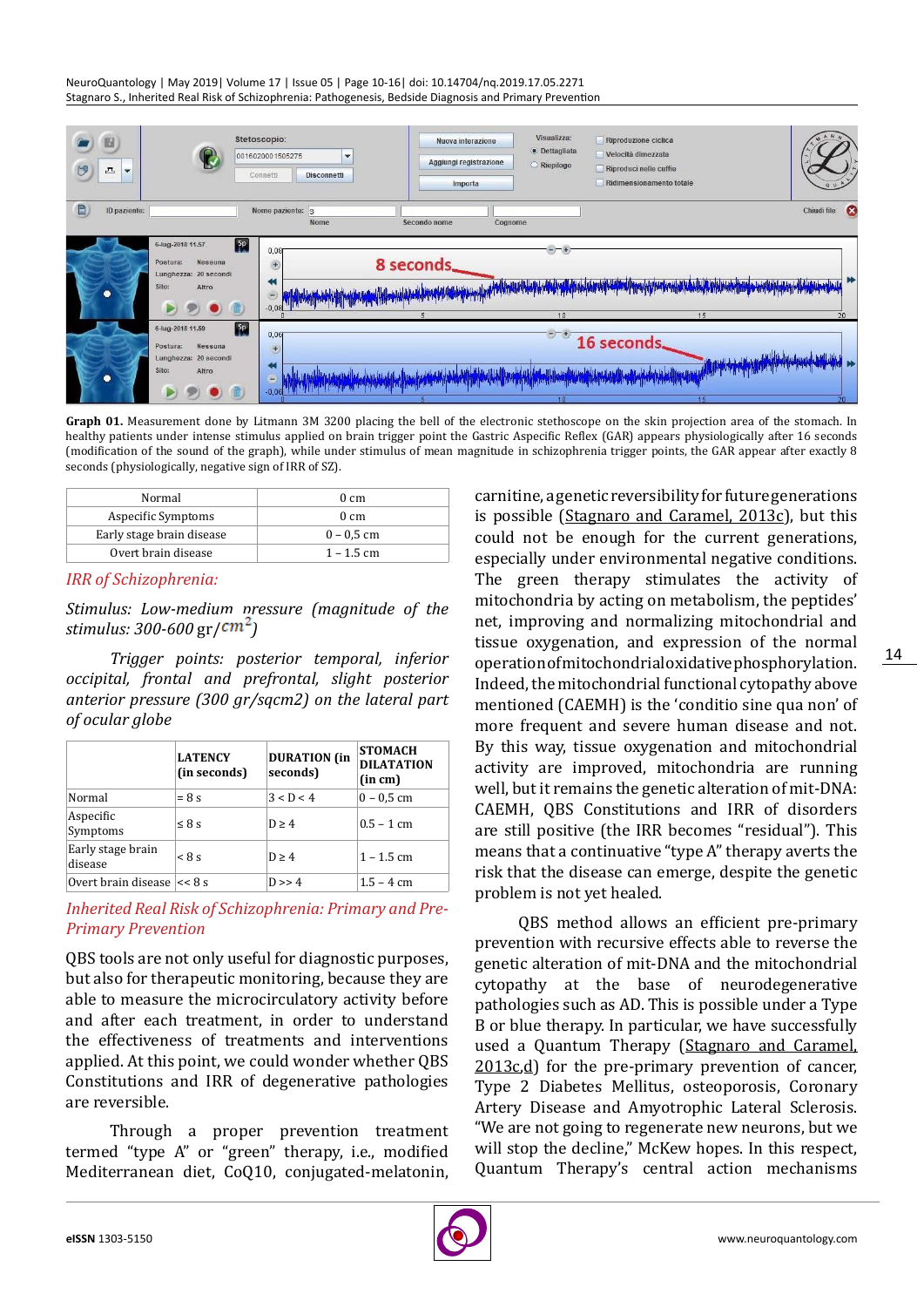NeuroQuantology | May 2019| Volume 17 | Issue 05 | Page 10-16| doi: 10.14704/nq.2019.17.05.2271 Stagnaro S., Inherited Real Risk of Schizophrenia: Pathogenesis, Bedside Diagnosis and Primary Prevention



**Graph 01.** Measurement done by Litmann 3M 3200 placing the bell of the electronic stethoscope on the skin projection area of the stomach. In healthy patients under intense stimulus applied on brain trigger point the Gastric Aspecific Reflex (GAR) appears physiologically after 16 seconds (modification of the sound of the graph), while under stimulus of mean magnitude in schizophrenia trigger points, the GAR appear after exactly 8 seconds (physiologically, negative sign of IRR of SZ).

| Normal                    | $0 \, \text{cm}$ |  |
|---------------------------|------------------|--|
| Aspecific Symptoms        | $0 \, \text{cm}$ |  |
| Early stage brain disease | $0 - 0.5$ cm     |  |
| Overt brain disease       | $1 - 1.5$ cm     |  |

## *IRR of Schizophrenia:*

*Stimulus: Low-medium pressure (magnitude of the stimulus: 300-600 gr/* $\frac{cm^2}{m^2}$ 

*Trigger points: posterior temporal, inferior occipital, frontal and prefrontal, slight posterior anterior pressure (300 gr/sqcm2) on the lateral part of ocular globe*

|                                | <b>LATENCY</b><br>(in seconds) | <b>DURATION</b> (in<br>seconds) | <b>STOMACH</b><br><b>DILATATION</b><br>(in cm) |
|--------------------------------|--------------------------------|---------------------------------|------------------------------------------------|
| Normal                         | $= 8$ s                        | 3 < D < 4                       | $0 - 0.5$ cm                                   |
| Aspecific<br>Symptoms          | $\leq$ 8 s                     | D > 4                           | $0.5 - 1$ cm                                   |
| Early stage brain<br>disease   | < 8s                           | D > 4                           | $1 - 1.5$ cm                                   |
| Overt brain disease $\leq 8$ s |                                | D >> 4                          | $1.5 - 4$ cm                                   |

*Inherited Real Risk of Schizophrenia: Primary and Pre-Primary Prevention*

QBS tools are not only useful for diagnostic purposes, but also for therapeutic monitoring, because they are able to measure the microcirculatory activity before and after each treatment, in order to understand the effectiveness of treatments and interventions applied. At this point, we could wonder whether QBS Constitutions and IRR of degenerative pathologies are reversible.

Through a proper prevention treatment termed "type A" or "green" therapy, i.e., modified Mediterranean diet, CoQ10, conjugated-melatonin,

carnitine, a genetic reversibility for future generations is possible ([Stagnaro and Caramel, 2013c](http://journal.frontiersin.org/article/10.3389/fnagi.2013.00013/full%23B15)), but this could not be enough for the current generations, especially under environmental negative conditions. The green therapy stimulates the activity of mitochondria by acting on metabolism, the peptides' net, improving and normalizing mitochondrial and tissue oxygenation, and expression of the normal operation of mitochondrial oxidative phosphorylation. Indeed, the mitochondrial functional cytopathy above mentioned (CAEMH) is the 'conditio sine qua non' of more frequent and severe human disease and not. By this way, tissue oxygenation and mitochondrial activity are improved, mitochondria are running well, but it remains the genetic alteration of mit-DNA: CAEMH, QBS Constitutions and IRR of disorders are still positive (the IRR becomes "residual"). This means that a continuative "type A" therapy averts the risk that the disease can emerge, despite the genetic problem is not yet healed.

QBS method allows an efficient pre-primary prevention with recursive effects able to reverse the genetic alteration of mit-DNA and the mitochondrial cytopathy at the base of neurodegenerative pathologies such as AD. This is possible under a Type B or blue therapy. In particular, we have successfully used a Quantum Therapy ([Stagnaro and Caramel,](http://journal.frontiersin.org/article/10.3389/fnagi.2013.00013/full%23B15)   $2013c,d$  $2013c,d$  $2013c,d$  for the pre-primary prevention of cancer, Type 2 Diabetes Mellitus, osteoporosis, Coronary Artery Disease and Amyotrophic Lateral Sclerosis. "We are not going to regenerate new neurons, but we will stop the decline," McKew hopes. In this respect, Quantum Therapy's central action mechanisms

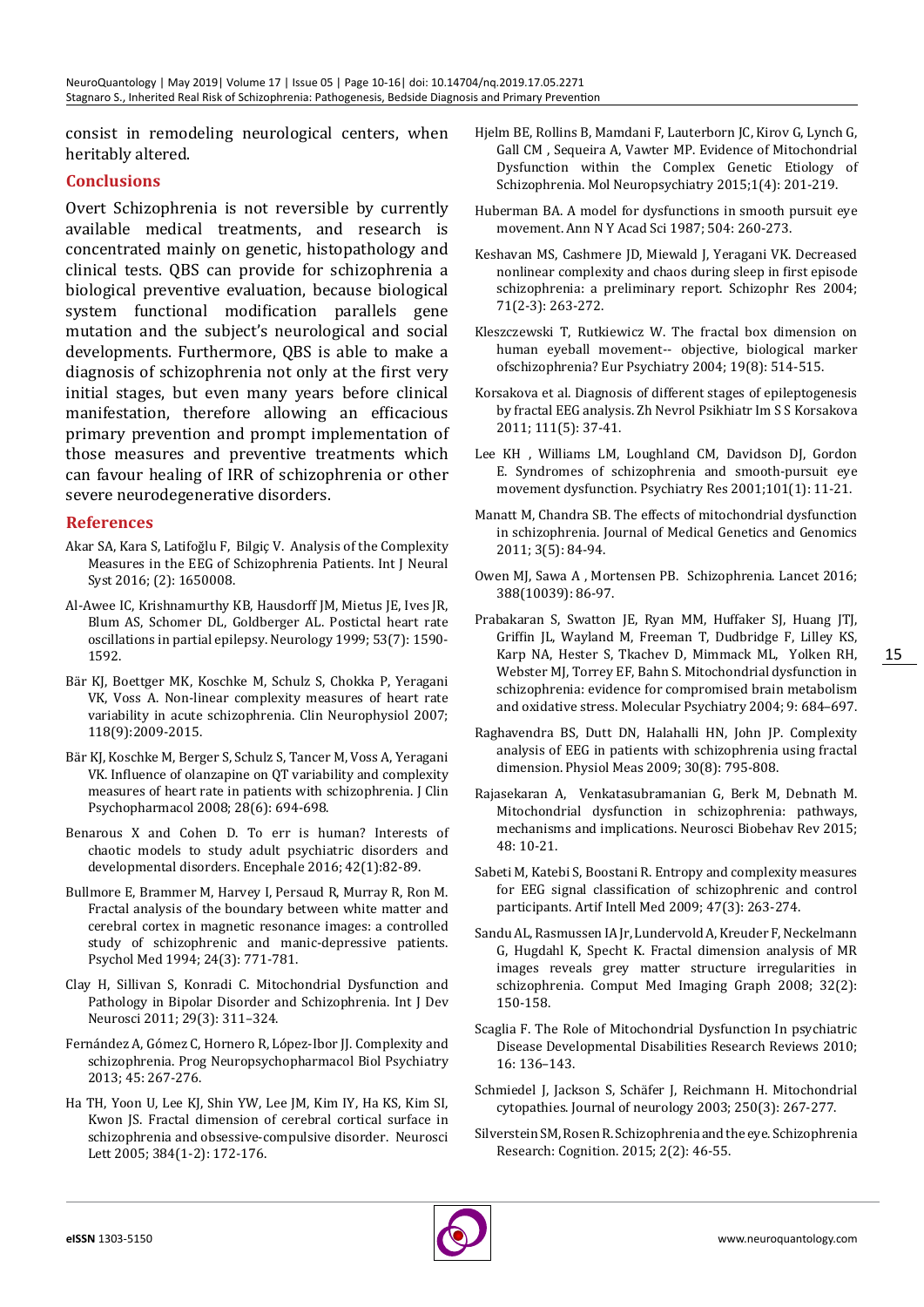consist in remodeling neurological centers, when heritably altered.

# **Conclusions**

Overt Schizophrenia is not reversible by currently available medical treatments, and research is concentrated mainly on genetic, histopathology and clinical tests. QBS can provide for schizophrenia a biological preventive evaluation, because biological system functional modification parallels gene mutation and the subject's neurological and social developments. Furthermore, QBS is able to make a diagnosis of schizophrenia not only at the first very initial stages, but even many years before clinical manifestation, therefore allowing an efficacious primary prevention and prompt implementation of those measures and preventive treatments which can favour healing of IRR of schizophrenia or other severe neurodegenerative disorders.

## **References**

- Akar SA, Kara S, [Latifoğlu F,](https://www.ncbi.nlm.nih.gov/pubmed/?term=Latifo%C4%9Flu F%5BAuthor%5D&cauthor=true&cauthor_uid=26762866) [Bilgiç V.](https://www.ncbi.nlm.nih.gov/pubmed/?term=Bilgi%C3%A7 V%5BAuthor%5D&cauthor=true&cauthor_uid=26762866) Analysis of the Complexity Measures in the EEG of Schizophrenia Patients. [Int J Neural](https://www.ncbi.nlm.nih.gov/pubmed/26762866) [Syst 2](https://www.ncbi.nlm.nih.gov/pubmed/26762866)016; (2): 1650008.
- Al-Awee IC, Krishnamurthy KB, Hausdorff JM, Mietus JE, Ives JR, Blum AS, Schomer DL, Goldberger AL. Postictal heart rate oscillations in partial epilepsy. Neurology 1999; 53(7): 1590- 1592.
- Bär KJ, Boettger MK, Koschke M, Schulz S, Chokka P, Yeragani VK, Voss A. [Non-linear complexity measures of heart rate](https://www.ncbi.nlm.nih.gov/pubmed/17646130) [variability in acute schizophrenia.](https://www.ncbi.nlm.nih.gov/pubmed/17646130) Clin Neurophysiol 2007; 118(9):2009-2015.
- Bär KJ, Koschke M, Berger S, Schulz S, Tancer M, Voss A, Yeragani VK. [Influence of olanzapine on QT variability and complexity](https://www.ncbi.nlm.nih.gov/pubmed/19011440) [measures of heart rate in patients with](https://www.ncbi.nlm.nih.gov/pubmed/19011440) [schizophrenia.](https://www.ncbi.nlm.nih.gov/pubmed/19011440) J Clin Psychopharmacol 2008; 28(6): 694-698.
- [Benarous X](https://www.ncbi.nlm.nih.gov/pubmed/?term=Benarous X%5BAuthor%5D&cauthor=true&cauthor_uid=26231988) and [Cohen D. T](https://www.ncbi.nlm.nih.gov/pubmed/?term=Cohen D%5BAuthor%5D&cauthor=true&cauthor_uid=26231988)o err is human? Interests of chaotic models to study adult psychiatric disorders and developmental disorders. [Encephale](https://www.ncbi.nlm.nih.gov/pubmed/26231988) 2016; 42(1):82-89.
- Bullmore E, Brammer M, Harvey I, Persaud R, Murray R, Ron M. [Fractal analysis of the boundary between white matter and](https://www.ncbi.nlm.nih.gov/pubmed/7991759) [cerebral cortex in magnetic resonance images: a controlled](https://www.ncbi.nlm.nih.gov/pubmed/7991759) [study of schizophrenic and manic-depressive patients.](https://www.ncbi.nlm.nih.gov/pubmed/7991759) Psychol Med 1994; 24(3): 771-781.
- [Clay](https://www.ncbi.nlm.nih.gov/pubmed/?term=Clay H%5BAuthor%5D&cauthor=true&cauthor_uid=20833242) H[, Sillivan](https://www.ncbi.nlm.nih.gov/pubmed/?term=Sillivan S%5BAuthor%5D&cauthor=true&cauthor_uid=20833242) S[, Konradi](https://www.ncbi.nlm.nih.gov/pubmed/?term=Konradi C%5BAuthor%5D&cauthor=true&cauthor_uid=20833242) C. Mitochondrial Dysfunction and Pathology in Bipolar Disorder and Schizophrenia. [Int J Dev](https://www.ncbi.nlm.nih.gov/entrez/eutils/elink.fcgi?dbfrom=pubmed&retmode=ref&cmd=prlinks&id=20833242) [Neurosci 2011; 29\(3\): 311–324.](https://www.ncbi.nlm.nih.gov/entrez/eutils/elink.fcgi?dbfrom=pubmed&retmode=ref&cmd=prlinks&id=20833242)
- [Fernández A,](https://www.ncbi.nlm.nih.gov/pubmed/?term=Fern%C3%A1ndez A%5BAuthor%5D&cauthor=true&cauthor_uid=22507763) [Gómez C,](https://www.ncbi.nlm.nih.gov/pubmed/?term=G%C3%B3mez C%5BAuthor%5D&cauthor=true&cauthor_uid=22507763) [Hornero R,](https://www.ncbi.nlm.nih.gov/pubmed/?term=Hornero R%5BAuthor%5D&cauthor=true&cauthor_uid=22507763) [López-Ibor JJ](https://www.ncbi.nlm.nih.gov/pubmed/?term=L%C3%B3pez-Ibor JJ%5BAuthor%5D&cauthor=true&cauthor_uid=22507763). Complexity and schizophrenia. [Prog](https://www.ncbi.nlm.nih.gov/pubmed/22507763) [Neuropsychopharmacol Biol Psychiatry](https://www.ncbi.nlm.nih.gov/pubmed/22507763) 2013; 45: 267-276.
- Ha TH, Yoon U, Lee KJ, Shin YW, Lee JM, Kim IY, Ha KS, Kim SI, Kwon JS. [Fractal dimension of cerebral cortical surface in](https://www.ncbi.nlm.nih.gov/pubmed/15893428) [schizophrenia and obsessive-compulsive disorder.](https://www.ncbi.nlm.nih.gov/pubmed/15893428) Neurosci Lett 2005; 384(1-2): 172-176.
- [Hjelm BE,](https://www.ncbi.nlm.nih.gov/pubmed/?term=Hjelm BE%5BAuthor%5D&cauthor=true&cauthor_uid=26550561) [Rollins B,](https://www.ncbi.nlm.nih.gov/pubmed/?term=Rollins B%5BAuthor%5D&cauthor=true&cauthor_uid=26550561) [Mamdani F](https://www.ncbi.nlm.nih.gov/pubmed/?term=Mamdani F%5BAuthor%5D&cauthor=true&cauthor_uid=26550561), [Lauterborn JC,](https://www.ncbi.nlm.nih.gov/pubmed/?term=Lauterborn JC%5BAuthor%5D&cauthor=true&cauthor_uid=26550561) [Kirov G](https://www.ncbi.nlm.nih.gov/pubmed/?term=Kirov G%5BAuthor%5D&cauthor=true&cauthor_uid=26550561), [Lynch G,](https://www.ncbi.nlm.nih.gov/pubmed/?term=Lynch G%5BAuthor%5D&cauthor=true&cauthor_uid=26550561) [Gall CM ,](https://www.ncbi.nlm.nih.gov/pubmed/?term=Gall CM%5BAuthor%5D&cauthor=true&cauthor_uid=26550561) [Sequeira](https://www.ncbi.nlm.nih.gov/pubmed/?term=Sequeira A%5BAuthor%5D&cauthor=true&cauthor_uid=26550561) A, [Vawter MP](https://www.ncbi.nlm.nih.gov/pubmed/?term=Vawter MP%5BAuthor%5D&cauthor=true&cauthor_uid=26550561). Evidence of Mitochondrial Dysfunction within the Complex Genetic Etiology of Schizophrenia. [Mol Neuropsychiatry 2](https://www.ncbi.nlm.nih.gov/pubmed/26550561)015;1(4): 201-219.
- [Huberman BA.](https://www.ncbi.nlm.nih.gov/pubmed/?term=Huberman BA%5BAuthor%5D&cauthor=true&cauthor_uid=3477120) A model for dysfunctions in smooth pursuit eye movement. [Ann N Y Acad Sci 1](https://www.ncbi.nlm.nih.gov/pubmed/3477120)987; 504: 260-273.
- [Keshavan MS,](https://www.ncbi.nlm.nih.gov/pubmed/?term=Keshavan MS%5BAuthor%5D&cauthor=true&cauthor_uid=15474897) [Cashmere JD](https://www.ncbi.nlm.nih.gov/pubmed/?term=Cashmere JD%5BAuthor%5D&cauthor=true&cauthor_uid=15474897), [Miewald J,](https://www.ncbi.nlm.nih.gov/pubmed/?term=Miewald J%5BAuthor%5D&cauthor=true&cauthor_uid=15474897) [Yeragani VK.](https://www.ncbi.nlm.nih.gov/pubmed/?term=Yeragani VK%5BAuthor%5D&cauthor=true&cauthor_uid=15474897) Decreased nonlinear complexity and chaos during sleep in first episode schizophrenia: a preliminary report. [Schizophr Res](https://www.ncbi.nlm.nih.gov/pubmed/?term=schizophrenia%2Beye%2Bmovement%2Bchaos) 2004; 71(2-3): 263-272.
- Kleszczewski T, Rutkiewicz W. [The fractal box dimension on](https://www.ncbi.nlm.nih.gov/pubmed/15589714)  [human eyeball movement--](https://www.ncbi.nlm.nih.gov/pubmed/15589714) [objective, biological marker](https://www.ncbi.nlm.nih.gov/pubmed/15589714)  [ofschizophrenia? E](https://www.ncbi.nlm.nih.gov/pubmed/15589714)ur Psychiatry 2004; 19(8): 514-515.
- Korsakova et al. Diagnosis of different stages of epileptogenesis by fractal EEG analysis. Zh Nevrol Psikhiatr Im S S Korsakova 2011; 111(5): 37-41.
- [Lee KH ,](https://www.ncbi.nlm.nih.gov/pubmed/?term=Lee KH%5BAuthor%5D&cauthor=true&cauthor_uid=11223115) [Williams LM,](https://www.ncbi.nlm.nih.gov/pubmed/?term=Williams LM%5BAuthor%5D&cauthor=true&cauthor_uid=11223115) [Loughland CM,](https://www.ncbi.nlm.nih.gov/pubmed/?term=Loughland CM%5BAuthor%5D&cauthor=true&cauthor_uid=11223115) [Davidson DJ,](https://www.ncbi.nlm.nih.gov/pubmed/?term=Davidson DJ%5BAuthor%5D&cauthor=true&cauthor_uid=11223115) [Gordon](https://www.ncbi.nlm.nih.gov/pubmed/?term=Gordon E%5BAuthor%5D&cauthor=true&cauthor_uid=11223115)  [E](https://www.ncbi.nlm.nih.gov/pubmed/?term=Gordon E%5BAuthor%5D&cauthor=true&cauthor_uid=11223115). Syndromes of schizophrenia and smooth-pursuit eye movement dysfunction. [Psychiatry Res](https://www.ncbi.nlm.nih.gov/pubmed/11223115) 2001;101(1): 11-21.
- Manatt M, Chandra SB. The effects of mitochondrial dysfunction in schizophrenia. Journal of Medical Genetics and Genomics 2011; 3(5): 84-94.
- [Owen MJ](https://www.ncbi.nlm.nih.gov/pubmed/?term=Owen MJ%5BAuthor%5D&cauthor=true&cauthor_uid=26777917), [Sawa A ,](https://www.ncbi.nlm.nih.gov/pubmed/?term=Sawa A%5BAuthor%5D&cauthor=true&cauthor_uid=26777917) [Mortensen PB.](https://www.ncbi.nlm.nih.gov/pubmed/?term=Mortensen PB%5BAuthor%5D&cauthor=true&cauthor_uid=26777917) Schizophrenia. Lancet 2016; 388(10039): 86-97.
- Prabakaran S, Swatton JE, Ryan MM, Huffaker SJ, Huang JTJ, Griffin JL, Wayland [M,](http://www.nature.com/mp/journal/v9/n7/full/4001511a.html#aff4) Freeman [T,](http://www.nature.com/mp/journal/v9/n7/full/4001511a.html#aff4) Dudbridge [F,](http://www.nature.com/mp/journal/v9/n7/full/4001511a.html#aff4) Lille[y KS,](http://www.nature.com/mp/journal/v9/n7/full/4001511a.html#aff5)  Kar[p NA,](http://www.nature.com/mp/journal/v9/n7/full/4001511a.html#aff5) Heste[r S,](http://www.nature.com/mp/journal/v9/n7/full/4001511a.html#aff5) Tkache[v D,](http://www.nature.com/mp/journal/v9/n7/full/4001511a.html#aff2) Mimmac[k ML,](http://www.nature.com/mp/journal/v9/n7/full/4001511a.html#aff2) Yolken RH, Webster MJ, Torrey EF, Bahn S. Mitochondrial dysfunction in schizophrenia: evidence for compromised brain metabolism and oxidative stress. Molecular Psychiatry 2004; 9: 684–697.
- [Raghavendra BS](https://www.ncbi.nlm.nih.gov/pubmed/?term=Raghavendra BS%5BAuthor%5D&cauthor=true&cauthor_uid=19550026), [Dutt DN,](https://www.ncbi.nlm.nih.gov/pubmed/?term=Dutt DN%5BAuthor%5D&cauthor=true&cauthor_uid=19550026) [Halahalli HN](https://www.ncbi.nlm.nih.gov/pubmed/?term=Halahalli HN%5BAuthor%5D&cauthor=true&cauthor_uid=19550026), [John JP](https://www.ncbi.nlm.nih.gov/pubmed/?term=John JP%5BAuthor%5D&cauthor=true&cauthor_uid=19550026). Complexity analysis of EEG in patients with schizophrenia using fractal dimension. [Physiol Meas 2](https://www.ncbi.nlm.nih.gov/pubmed/19550026)009; 30(8): 795-808.
- [Rajasekaran A,](https://www.ncbi.nlm.nih.gov/pubmed/?term=Rajasekaran A%5BAuthor%5D&cauthor=true&cauthor_uid=25446950) [Venkatasubramanian G](https://www.ncbi.nlm.nih.gov/pubmed/?term=Venkatasubramanian G%5BAuthor%5D&cauthor=true&cauthor_uid=25446950), [Berk M,](https://www.ncbi.nlm.nih.gov/pubmed/?term=Berk M%5BAuthor%5D&cauthor=true&cauthor_uid=25446950) [Debnath M.](https://www.ncbi.nlm.nih.gov/pubmed/?term=Debnath M%5BAuthor%5D&cauthor=true&cauthor_uid=25446950) Mitochondrial dysfunction in schizophrenia: pathways, mechanisms and implications. [Neurosci Biobehav Rev](https://www.ncbi.nlm.nih.gov/pubmed/25446950) 2015; 48: 10-21.
- Sabeti M, Katebi S, Boostani R. [Entropy and complexity measures](https://www.ncbi.nlm.nih.gov/pubmed/19403281)  [for EEG signal classification of schizophrenic and control](https://www.ncbi.nlm.nih.gov/pubmed/19403281)  [participants.](https://www.ncbi.nlm.nih.gov/pubmed/19403281) Artif Intell Med 2009; 47(3): 263-274.
- Sandu AL, Rasmussen IA Jr, Lundervold A, Kreuder F, Neckelmann G, Hugdahl K, Specht K. [Fractal dimension analysis of MR](https://www.ncbi.nlm.nih.gov/pubmed/18068333)  [images reveals grey matter structure irregularities in](https://www.ncbi.nlm.nih.gov/pubmed/18068333)  [schizophrenia.](https://www.ncbi.nlm.nih.gov/pubmed/18068333) Comput Med Imaging Graph 2008; 32(2): 150-158.
- Scaglia F. The Role of Mitochondrial Dysfunction In psychiatric Disease Developmental Disabilities Research Reviews 2010; 16: 136–143.
- Schmiedel J, Jackson S, Schäfer J, Reichmann H. Mitochondrial cytopathies. Journal of neurology 2003; 250(3): 267-277.
- Silverstein SM, Rosen R. Schizophrenia and the eye. Schizophrenia Research: Cognition. 2015; 2(2): 46-55.